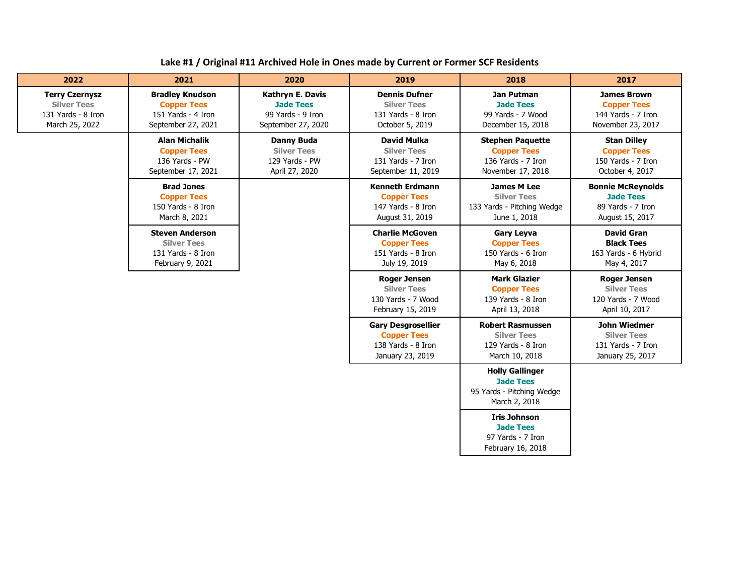| Lake #1 / Original #11 Archived Hole in Ones made by Current or Former SCF Residents |  |
|--------------------------------------------------------------------------------------|--|
|--------------------------------------------------------------------------------------|--|

| 2022                                                                                | 2021                                                                                     | 2020                                                                                   | 2019                                                                                      | 2018                                                                                     | 2017                                                                                 |
|-------------------------------------------------------------------------------------|------------------------------------------------------------------------------------------|----------------------------------------------------------------------------------------|-------------------------------------------------------------------------------------------|------------------------------------------------------------------------------------------|--------------------------------------------------------------------------------------|
| <b>Terry Czernysz</b><br><b>Silver Tees</b><br>131 Yards - 8 Iron<br>March 25, 2022 | <b>Bradley Knudson</b><br><b>Copper Tees</b><br>151 Yards - 4 Iron<br>September 27, 2021 | <b>Kathryn E. Davis</b><br><b>Jade Tees</b><br>99 Yards - 9 Iron<br>September 27, 2020 | <b>Dennis Dufner</b><br><b>Silver Tees</b><br>131 Yards - 8 Iron<br>October 5, 2019       | Jan Putman<br><b>Jade Tees</b><br>99 Yards - 7 Wood<br>December 15, 2018                 | <b>James Brown</b><br><b>Copper Tees</b><br>144 Yards - 7 Iron<br>November 23, 2017  |
|                                                                                     | <b>Alan Michalik</b><br><b>Copper Tees</b><br>136 Yards - PW<br>September 17, 2021       | <b>Danny Buda</b><br><b>Silver Tees</b><br>129 Yards - PW<br>April 27, 2020            | <b>David Mulka</b><br><b>Silver Tees</b><br>131 Yards - 7 Iron<br>September 11, 2019      | <b>Stephen Paquette</b><br><b>Copper Tees</b><br>136 Yards - 7 Iron<br>November 17, 2018 | <b>Stan Dilley</b><br><b>Copper Tees</b><br>150 Yards - 7 Iron<br>October 4, 2017    |
|                                                                                     | <b>Brad Jones</b><br><b>Copper Tees</b><br>150 Yards - 8 Iron<br>March 8, 2021           |                                                                                        | <b>Kenneth Erdmann</b><br><b>Copper Tees</b><br>147 Yards - 8 Iron<br>August 31, 2019     | <b>James M Lee</b><br><b>Silver Tees</b><br>133 Yards - Pitching Wedge<br>June 1, 2018   | <b>Bonnie McReynolds</b><br><b>Jade Tees</b><br>89 Yards - 7 Iron<br>August 15, 2017 |
|                                                                                     | <b>Steven Anderson</b><br><b>Silver Tees</b><br>131 Yards - 8 Iron<br>February 9, 2021   |                                                                                        | <b>Charlie McGoven</b><br><b>Copper Tees</b><br>151 Yards - 8 Iron<br>July 19, 2019       | <b>Gary Leyva</b><br><b>Copper Tees</b><br>150 Yards - 6 Iron<br>May 6, 2018             | <b>David Gran</b><br><b>Black Tees</b><br>163 Yards - 6 Hybrid<br>May 4, 2017        |
|                                                                                     |                                                                                          |                                                                                        | <b>Roger Jensen</b><br><b>Silver Tees</b><br>130 Yards - 7 Wood<br>February 15, 2019      | <b>Mark Glazier</b><br><b>Copper Tees</b><br>139 Yards - 8 Iron<br>April 13, 2018        | <b>Roger Jensen</b><br><b>Silver Tees</b><br>120 Yards - 7 Wood<br>April 10, 2017    |
|                                                                                     |                                                                                          |                                                                                        | <b>Gary Desgrosellier</b><br><b>Copper Tees</b><br>138 Yards - 8 Iron<br>January 23, 2019 | <b>Robert Rasmussen</b><br><b>Silver Tees</b><br>129 Yards - 8 Iron<br>March 10, 2018    | John Wiedmer<br><b>Silver Tees</b><br>131 Yards - 7 Iron<br>January 25, 2017         |
|                                                                                     |                                                                                          |                                                                                        |                                                                                           | <b>Holly Gallinger</b><br><b>Jade Tees</b><br>95 Yards - Pitching Wedge<br>March 2, 2018 |                                                                                      |
|                                                                                     |                                                                                          |                                                                                        |                                                                                           | <b>Iris Johnson</b><br><b>Jade Tees</b><br>97 Yards - 7 Iron<br>February 16, 2018        |                                                                                      |